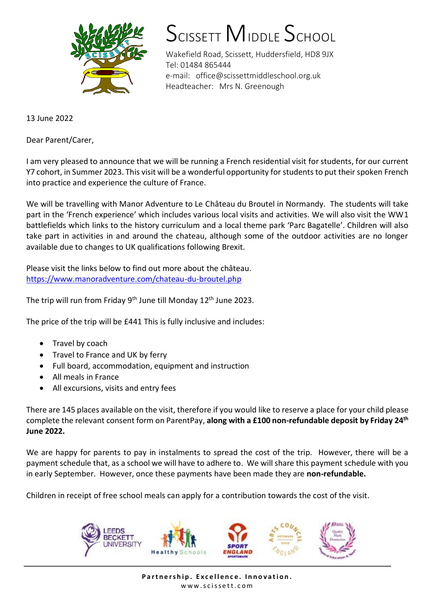

## SCISSETT MIDDLE SCHOOL

Wakefield Road, Scissett, Huddersfield, HD8 9JX Tel: 01484 865444 e-mail: office@scissettmiddleschool.org.uk Headteacher: Mrs N. Greenough

13 June 2022

Dear Parent/Carer,

I am very pleased to announce that we will be running a French residential visit for students, for our current Y7 cohort, in Summer 2023. This visit will be a wonderful opportunity for students to put their spoken French into practice and experience the culture of France.

We will be travelling with Manor Adventure to Le Château du Broutel in Normandy. The students will take part in the 'French experience' which includes various local visits and activities. We will also visit the WW1 battlefields which links to the history curriculum and a local theme park 'Parc Bagatelle'. Children will also take part in activities in and around the chateau, although some of the outdoor activities are no longer available due to changes to UK qualifications following Brexit.

Please visit the links below to find out more about the château. <https://www.manoradventure.com/chateau-du-broutel.php>

The trip will run from Friday 9<sup>th</sup> June till Monday 12<sup>th</sup> June 2023.

The price of the trip will be £441 This is fully inclusive and includes:

- Travel by coach
- Travel to France and UK by ferry
- Full board, accommodation, equipment and instruction
- All meals in France
- All excursions, visits and entry fees

There are 145 places available on the visit, therefore if you would like to reserve a place for your child please complete the relevant consent form on ParentPay, **along with a £100 non-refundable deposit by Friday 24th June 2022.**

We are happy for parents to pay in instalments to spread the cost of the trip. However, there will be a payment schedule that, as a school we will have to adhere to. We will share this payment schedule with you in early September. However, once these payments have been made they are **non-refundable.**

Children in receipt of free school meals can apply for a contribution towards the cost of the visit.



Partnership. Excellence. Innovation. www.scissett.com